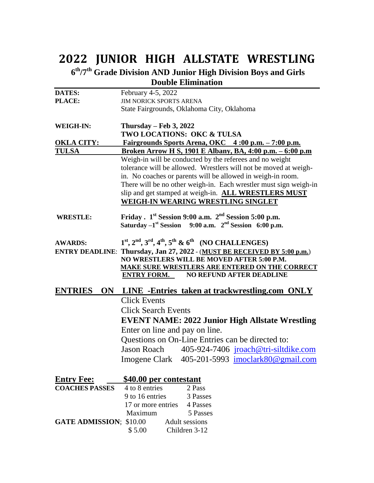## **2022 JUNIOR HIGH ALLSTATE WRESTLING**

**6 th/7th Grade Division AND Junior High Division Boys and Girls Double Elimination**

| <b>DATES:</b>                        | February 4-5, 2022                                                                           |  |  |
|--------------------------------------|----------------------------------------------------------------------------------------------|--|--|
| PLACE:                               | <b>JIM NORICK SPORTS ARENA</b>                                                               |  |  |
|                                      | State Fairgrounds, Oklahoma City, Oklahoma                                                   |  |  |
| WEIGH-IN:                            | Thursday – Feb 3, 2022                                                                       |  |  |
|                                      | <b>TWO LOCATIONS: OKC &amp; TULSA</b>                                                        |  |  |
| <b>OKLA CITY:</b>                    | <u>Fairgrounds Sports Arena, OKC 4:00 p.m. - 7:00 p.m.</u>                                   |  |  |
| <b>TULSA</b>                         | <u>Broken Arrow H S, 1901 E Albany, BA, 4:00 p.m. – 6:00 p.m</u>                             |  |  |
|                                      | Weigh-in will be conducted by the referees and no weight                                     |  |  |
|                                      | tolerance will be allowed. Wrestlers will not be moved at weigh-                             |  |  |
|                                      | in. No coaches or parents will be allowed in weigh-in room.                                  |  |  |
|                                      | There will be no other weigh-in. Each wrestler must sign weigh-in                            |  |  |
|                                      | slip and get stamped at weigh-in. ALL WRESTLERS MUST                                         |  |  |
|                                      | WEIGH-IN WEARING WRESTLING SINGLET                                                           |  |  |
| <b>WRESTLE:</b>                      | Friday. 1 <sup>st</sup> Session 9:00 a.m. 2 <sup>nd</sup> Session 5:00 p.m.                  |  |  |
|                                      | Saturday $-1^{st}$ Session 9:00 a.m. $2^{nd}$ Session 6:00 p.m.                              |  |  |
|                                      |                                                                                              |  |  |
| <b>AWARDS:</b>                       | $1st, 2nd, 3rd, 4th, 5th$ & 6 <sup>th</sup> (NO CHALLENGES)                                  |  |  |
|                                      | ENTRY DEADLINE: Thursday, Jan 27, 2022 - (MUST BE RECEIVED BY 5:00 p.m.)                     |  |  |
|                                      | NO WRESTLERS WILL BE MOVED AFTER 5:00 P.M.<br>MAKE SURE WRESTLERS ARE ENTERED ON THE CORRECT |  |  |
|                                      |                                                                                              |  |  |
|                                      | <b>NO REFUND AFTER DEADLINE</b><br><b>ENTRY FORM.</b>                                        |  |  |
| <b>ENTRIES</b>                       | <b>ON</b> LINE -Entries taken at trackwrestling.com ONLY                                     |  |  |
|                                      | <b>Click Events</b>                                                                          |  |  |
|                                      | <b>Click Search Events</b><br><b>EVENT NAME: 2022 Junior High Allstate Wrestling</b>         |  |  |
|                                      |                                                                                              |  |  |
|                                      | Enter on line and pay on line.<br>Questions on On-Line Entries can be directed to:           |  |  |
|                                      |                                                                                              |  |  |
|                                      | Jason Roach 405-924-7406 jroach@tri-siltdike.com                                             |  |  |
|                                      | Imogene Clark 405-201-5993 imoclark80@gmail.com                                              |  |  |
|                                      |                                                                                              |  |  |
| <b>Entry Fee:</b>                    | <b>\$40.00 per contestant</b>                                                                |  |  |
| <b>COACHES PASSES</b> 4 to 8 entries | 2 Pass                                                                                       |  |  |
|                                      | 9 to 16 entries 3 Passes                                                                     |  |  |
|                                      | 17 or more entries 4 Passes                                                                  |  |  |
|                                      | Maximum 5 Passes                                                                             |  |  |
|                                      | <b>GATE ADMISSION</b> ; \$10.00 Adult sessions                                               |  |  |

\$5.00 Children 3-12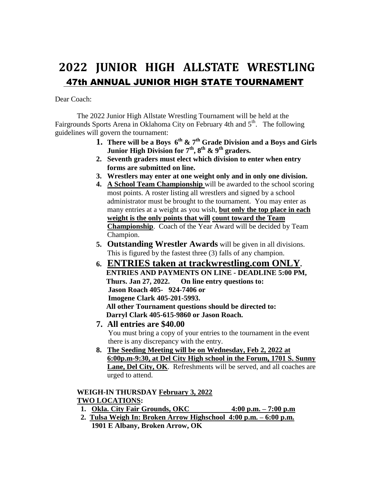## **2022 JUNIOR HIGH ALLSTATE WRESTLING** 47th ANNUAL JUNIOR HIGH STATE TOURNAMENT

Dear Coach:

The 2022 Junior High Allstate Wrestling Tournament will be held at the Fairgrounds Sports Arena in Oklahoma City on February 4th and 5<sup>th</sup>. The following guidelines will govern the tournament:

- **1. There will be a Boys 6 th & 7th Grade Division and a Boys and Girls Junior High Division for 7th, 8th & 9th graders.**
- **2. Seventh graders must elect which division to enter when entry forms are submitted on line.**
- **3. Wrestlers may enter at one weight only and in only one division.**
- **4. A School Team Championship** will be awarded to the school scoring most points. A roster listing all wrestlers and signed by a school administrator must be brought to the tournament. You may enter as many entries at a weight as you wish, **but only the top place in each weight is the only points that will count toward the Team Championship**. Coach of the Year Award will be decided by Team Champion.
- **5. Outstanding Wrestler Awards** will be given in all divisions. This is figured by the fastest three (3) falls of any champion.
- **6. ENTRIES taken at trackwrestling.com ONLY. ENTRIES AND PAYMENTS ON LINE - DEADLINE 5:00 PM, Thurs. Jan 27, 2022. On line entry questions to: Jason Roach 405- 924-7406 or Imogene Clark 405-201-5993. All other Tournament questions should be directed to: Darryl Clark 405-615-9860 or Jason Roach.**
- **7. All entries are \$40.00** You must bring a copy of your entries to the tournament in the event there is any discrepancy with the entry.
- **8. The Seeding Meeting will be on Wednesday, Feb 2, 2022 at 6:00p.m-9:30, at Del City High school in the Forum, 1701 S. Sunny Lane, Del City, OK**. Refreshments will be served, and all coaches are urged to attend.

#### **WEIGH-IN THURSDAY February 3, 2022 TWO LOCATIONS:**

- **1. Okla. City Fair Grounds, OKC 4:00 p.m. – 7:00 p.m**
- **2. Tulsa Weigh In: Broken Arrow Highschool 4:00 p.m. – 6:00 p.m. 1901 E Albany, Broken Arrow, OK**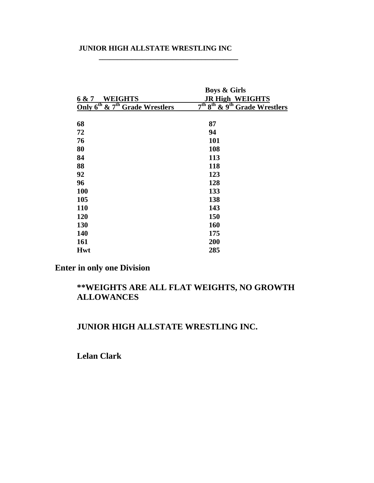#### **JUNIOR HIGH ALLSTATE WRESTLING INC**

**\_\_\_\_\_\_\_\_\_\_\_\_\_\_\_\_\_\_\_\_\_\_\_\_\_\_\_\_\_\_\_\_\_\_\_\_\_\_**

|                                                        | <b>Boys &amp; Girls</b>                                           |
|--------------------------------------------------------|-------------------------------------------------------------------|
| <b>WEIGHTS</b><br>6 & 7                                | <b>JR High WEIGHTS</b>                                            |
| Only 6 <sup>th</sup> & 7 <sup>th</sup> Grade Wrestlers | 7 <sup>th</sup> 8 <sup>th</sup> & 9 <sup>th</sup> Grade Wrestlers |
|                                                        |                                                                   |
| 68                                                     | 87                                                                |
| 72                                                     | 94                                                                |
| 76                                                     | 101                                                               |
| 80                                                     | 108                                                               |
| 84                                                     | 113                                                               |
| 88                                                     | 118                                                               |
| 92                                                     | 123                                                               |
| 96                                                     | 128                                                               |
| 100                                                    | 133                                                               |
| 105                                                    | 138                                                               |
| 110                                                    | 143                                                               |
| 120                                                    | 150                                                               |
| 130                                                    | 160                                                               |
| 140                                                    | 175                                                               |
| 161                                                    | 200                                                               |
| <b>Hwt</b>                                             | 285                                                               |

**Enter in only one Division**

### **\*\*WEIGHTS ARE ALL FLAT WEIGHTS, NO GROWTH ALLOWANCES**

#### **JUNIOR HIGH ALLSTATE WRESTLING INC.**

**Lelan Clark**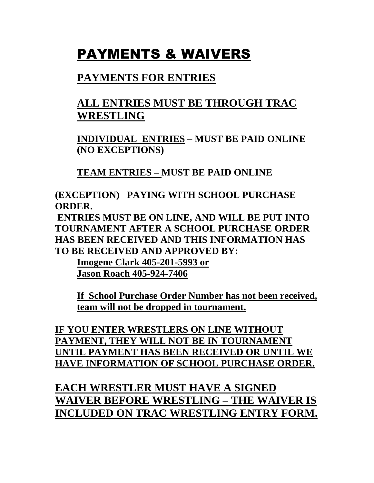# PAYMENTS & WAIVERS

### **PAYMENTS FOR ENTRIES**

## **ALL ENTRIES MUST BE THROUGH TRAC WRESTLING**

**INDIVIDUAL ENTRIES – MUST BE PAID ONLINE (NO EXCEPTIONS)**

**TEAM ENTRIES – MUST BE PAID ONLINE**

**(EXCEPTION) PAYING WITH SCHOOL PURCHASE ORDER.**

**ENTRIES MUST BE ON LINE, AND WILL BE PUT INTO TOURNAMENT AFTER A SCHOOL PURCHASE ORDER HAS BEEN RECEIVED AND THIS INFORMATION HAS TO BE RECEIVED AND APPROVED BY:**

**Imogene Clark 405-201-5993 or Jason Roach 405-924-7406**

**If School Purchase Order Number has not been received, team will not be dropped in tournament.**

**IF YOU ENTER WRESTLERS ON LINE WITHOUT PAYMENT, THEY WILL NOT BE IN TOURNAMENT UNTIL PAYMENT HAS BEEN RECEIVED OR UNTIL WE HAVE INFORMATION OF SCHOOL PURCHASE ORDER.** 

**EACH WRESTLER MUST HAVE A SIGNED WAIVER BEFORE WRESTLING – THE WAIVER IS INCLUDED ON TRAC WRESTLING ENTRY FORM.**